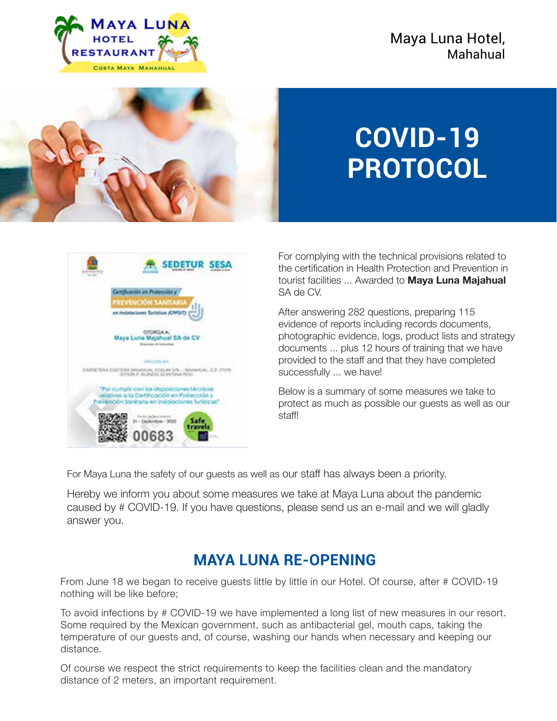



# **COVID-19 PROTOCOL**



For complying with the technical provisions related to the certification in Health Protection and Prevention in tourist facilities ... Awarded to **Maya Luna Majahual** SA de CV.

After answering 282 questions, preparing 115 evidence of reports including records documents, photographic evidence, logs, product lists and strategy documents ... plus 12 hours of training that we have provided to the staff and that they have completed successfully ... we have!

Below is a summary of some measures we take to protect as much as possible our guests as well as our staff!

For Maya Luna the safety of our guests as well as our staff has always been a priority.

Hereby we inform you about some measures we take at Maya Luna about the pandemic caused by # COVID-19. If you have questions, please send us an e-mail and we will gladly answer you.

## **MAYA LUNA RE-OPENING**

From June 18 we began to receive guests little by little in our Hotel. Of course, after # COVID-19 nothing will be like before;

To avoid infections by # COVID-19 we have implemented a long list of new measures in our resort. Some required by the Mexican government, such as antibacterial gel, mouth caps, taking the temperature of our guests and, of course, washing our hands when necessary and keeping our distance.

Of course we respect the strict requirements to keep the facilities clean and the mandatory distance of 2 meters, an important requirement.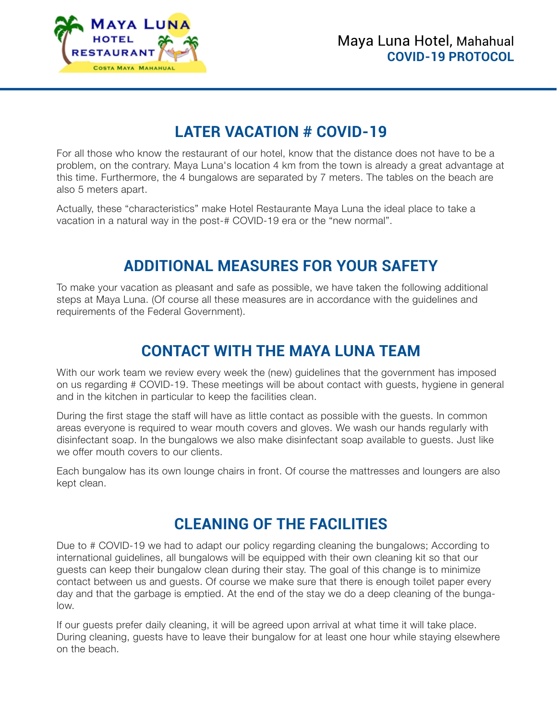

## **LATER VACATION # COVID-19**

For all those who know the restaurant of our hotel, know that the distance does not have to be a problem, on the contrary. Maya Luna's location 4 km from the town is already a great advantage at this time. Furthermore, the 4 bungalows are separated by 7 meters. The tables on the beach are also 5 meters apart.

Actually, these "characteristics" make Hotel Restaurante Maya Luna the ideal place to take a vacation in a natural way in the post-# COVID-19 era or the "new normal".

## **ADDITIONAL MEASURES FOR YOUR SAFETY**

To make your vacation as pleasant and safe as possible, we have taken the following additional steps at Maya Luna. (Of course all these measures are in accordance with the guidelines and requirements of the Federal Government).

## **CONTACT WITH THE MAYA LUNA TEAM**

With our work team we review every week the (new) guidelines that the government has imposed on us regarding # COVID-19. These meetings will be about contact with guests, hygiene in general and in the kitchen in particular to keep the facilities clean.

During the first stage the staff will have as little contact as possible with the guests. In common areas everyone is required to wear mouth covers and gloves. We wash our hands regularly with disinfectant soap. In the bungalows we also make disinfectant soap available to guests. Just like we offer mouth covers to our clients.

Each bungalow has its own lounge chairs in front. Of course the mattresses and loungers are also kept clean.

### **CLEANING OF THE FACILITIES**

Due to # COVID-19 we had to adapt our policy regarding cleaning the bungalows; According to international guidelines, all bungalows will be equipped with their own cleaning kit so that our guests can keep their bungalow clean during their stay. The goal of this change is to minimize contact between us and guests. Of course we make sure that there is enough toilet paper every day and that the garbage is emptied. At the end of the stay we do a deep cleaning of the bungalow.

If our guests prefer daily cleaning, it will be agreed upon arrival at what time it will take place. During cleaning, guests have to leave their bungalow for at least one hour while staying elsewhere on the beach.